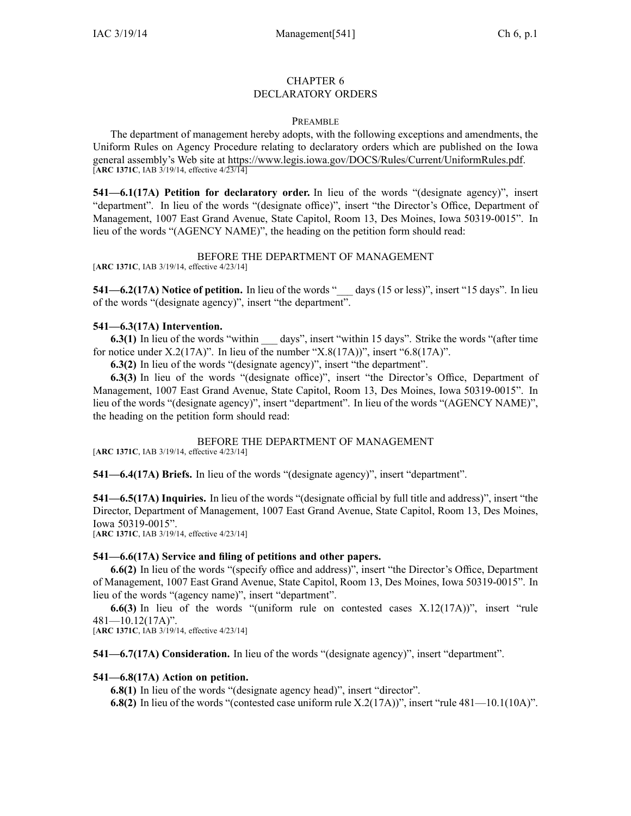#### CHAPTER 6 DECLARATORY ORDERS

#### **PREAMBLE**

The department of managemen<sup>t</sup> hereby adopts, with the following exceptions and amendments, the Uniform Rules on Agency Procedure relating to declaratory orders which are published on the Iowa general assembly's Web site at https://www.legis.iowa.gov/DOCS/Rules/Current/UniformRules.pdf. [**ARC 1371C**, IAB 3/19/14, effective 4/23/14]

**541—6.1(17A) Petition for declaratory order.** In lieu of the words "(designate agency)", insert "department". In lieu of the words "(designate office)", insert "the Director's Office, Department of Management, 1007 East Grand Avenue, State Capitol, Room 13, Des Moines, Iowa 50319-0015". In lieu of the words "(AGENCY NAME)", the heading on the petition form should read:

#### BEFORE THE DEPARTMENT OF MANAGEMENT

[**ARC 1371C**, IAB 3/19/14, effective 4/23/14]

**541—6.2(17A)** Notice of petition. In lieu of the words "\_\_\_ days (15 or less)", insert "15 days". In lieu of the words "(designate agency)", insert "the department".

## **541—6.3(17A) Intervention.**

**6.3(1)** In lieu of the words "within days", insert "within 15 days". Strike the words "(after time for notice under X.2(17A)". In lieu of the number "X.8(17A))", insert "6.8(17A)".

**6.3(2)** In lieu of the words "(designate agency)", insert "the department".

**6.3(3)** In lieu of the words "(designate office)", insert "the Director's Office, Department of Management, 1007 East Grand Avenue, State Capitol, Room 13, Des Moines, Iowa 50319-0015". In lieu of the words "(designate agency)", insert "department". In lieu of the words "(AGENCY NAME)", the heading on the petition form should read:

## BEFORE THE DEPARTMENT OF MANAGEMENT

[**ARC 1371C**, IAB 3/19/14, effective 4/23/14]

**541—6.4(17A) Briefs.** In lieu of the words "(designate agency)", insert "department".

**541—6.5(17A) Inquiries.** In lieu of the words "(designate official by full title and address)", insert "the Director, Department of Management, 1007 East Grand Avenue, State Capitol, Room 13, Des Moines, Iowa 50319-0015".

[**ARC 1371C**, IAB 3/19/14, effective 4/23/14]

## **541—6.6(17A) Service and filing of petitions and other papers.**

**6.6(2)** In lieu of the words "(specify office and address)", insert "the Director's Office, Department of Management, 1007 East Grand Avenue, State Capitol, Room 13, Des Moines, Iowa 50319-0015". In lieu of the words "(agency name)", insert "department".

**6.6(3)** In lieu of the words "(uniform rule on contested cases X.12(17A))", insert "rule 481—10.12(17A)".

[**ARC 1371C**, IAB 3/19/14, effective 4/23/14]

**541—6.7(17A) Consideration.** In lieu of the words "(designate agency)", insert "department".

## **541—6.8(17A) Action on petition.**

**6.8(1)** In lieu of the words "(designate agency head)", insert "director".

**6.8(2)** In lieu of the words "(contested case uniform rule X.2(17A))", insert "rule 481—10.1(10A)".